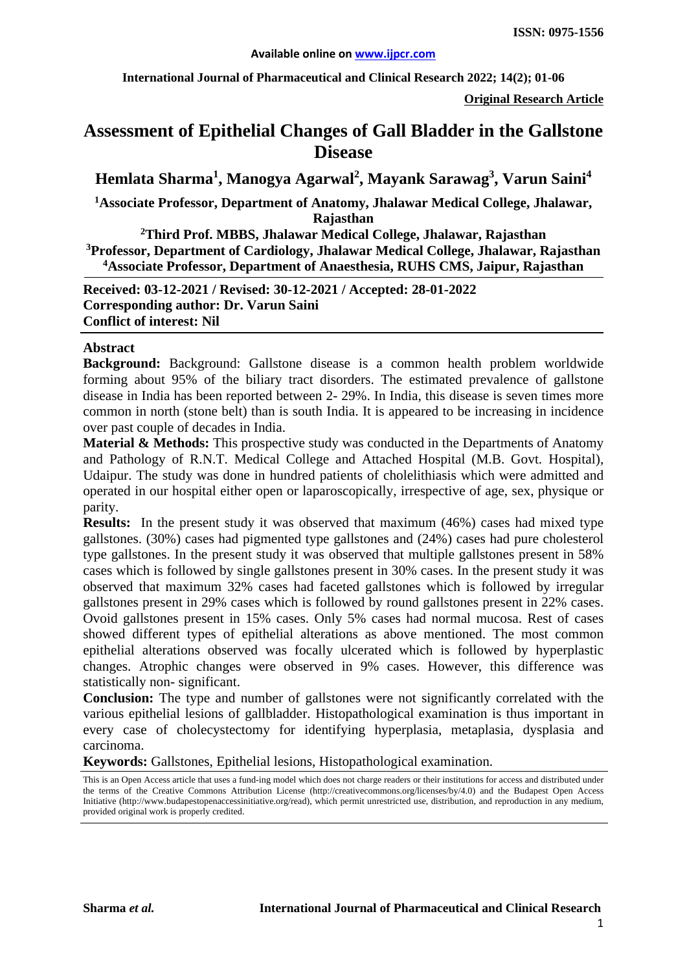**International Journal of Pharmaceutical and Clinical Research 2022; 14(2); 01-06**

**Original Research Article**

# **Assessment of Epithelial Changes of Gall Bladder in the Gallstone Disease**

**Hemlata Sharma<sup>1</sup> , Manogya Agarwal<sup>2</sup> , Mayank Sarawag3 , Varun Saini4**

**1 Associate Professor, Department of Anatomy, Jhalawar Medical College, Jhalawar, Rajasthan**

**2 Third Prof. MBBS, Jhalawar Medical College, Jhalawar, Rajasthan 3 Professor, Department of Cardiology, Jhalawar Medical College, Jhalawar, Rajasthan 4 Associate Professor, Department of Anaesthesia, RUHS CMS, Jaipur, Rajasthan**

**Received: 03-12-2021 / Revised: 30-12-2021 / Accepted: 28-01-2022 Corresponding author: Dr. Varun Saini Conflict of interest: Nil**

#### **Abstract**

**Background:** Background: Gallstone disease is a common health problem worldwide forming about 95% of the biliary tract disorders. The estimated prevalence of gallstone disease in India has been reported between 2- 29%. In India, this disease is seven times more common in north (stone belt) than is south India. It is appeared to be increasing in incidence over past couple of decades in India.

**Material & Methods:** This prospective study was conducted in the Departments of Anatomy and Pathology of R.N.T. Medical College and Attached Hospital (M.B. Govt. Hospital), Udaipur. The study was done in hundred patients of cholelithiasis which were admitted and operated in our hospital either open or laparoscopically, irrespective of age, sex, physique or parity.

**Results:** In the present study it was observed that maximum (46%) cases had mixed type gallstones. (30%) cases had pigmented type gallstones and (24%) cases had pure cholesterol type gallstones. In the present study it was observed that multiple gallstones present in 58% cases which is followed by single gallstones present in 30% cases. In the present study it was observed that maximum 32% cases had faceted gallstones which is followed by irregular gallstones present in 29% cases which is followed by round gallstones present in 22% cases. Ovoid gallstones present in 15% cases. Only 5% cases had normal mucosa. Rest of cases showed different types of epithelial alterations as above mentioned. The most common epithelial alterations observed was focally ulcerated which is followed by hyperplastic changes. Atrophic changes were observed in 9% cases. However, this difference was statistically non- significant.

**Conclusion:** The type and number of gallstones were not significantly correlated with the various epithelial lesions of gallbladder. Histopathological examination is thus important in every case of cholecystectomy for identifying hyperplasia, metaplasia, dysplasia and carcinoma.

**Keywords:** Gallstones, Epithelial lesions, Histopathological examination.

This is an Open Access article that uses a fund-ing model which does not charge readers or their institutions for access and distributed under the terms of the Creative Commons Attribution License (http://creativecommons.org/licenses/by/4.0) and the Budapest Open Access Initiative (http://www.budapestopenaccessinitiative.org/read), which permit unrestricted use, distribution, and reproduction in any medium, provided original work is properly credited.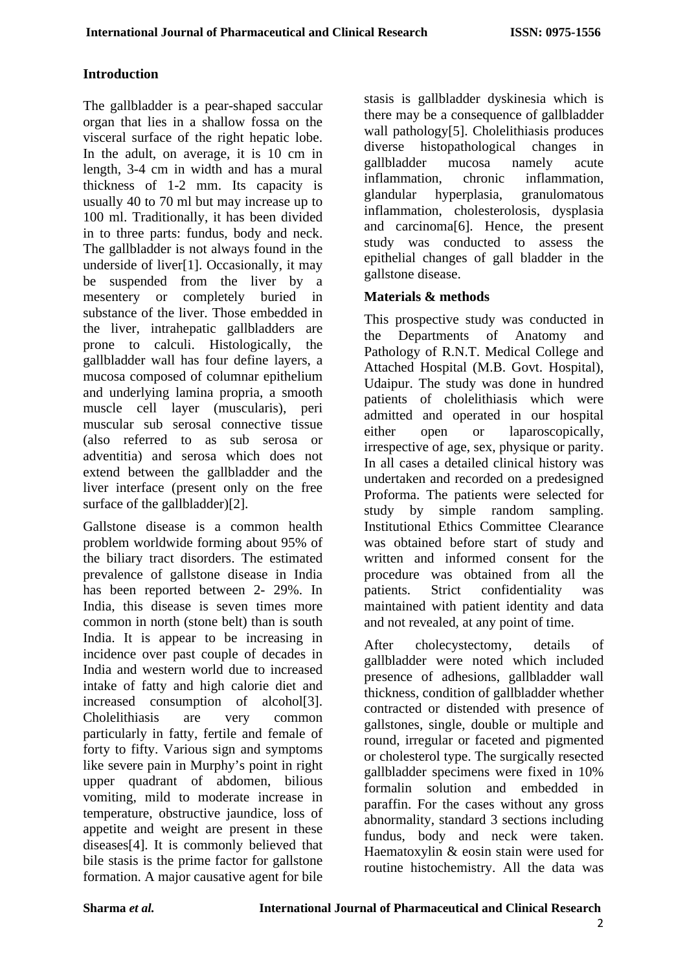### **Introduction**

The gallbladder is a pear-shaped saccular organ that lies in a shallow fossa on the visceral surface of the right hepatic lobe. In the adult, on average, it is 10 cm in length, 3-4 cm in width and has a mural thickness of 1-2 mm. Its capacity is usually 40 to 70 ml but may increase up to 100 ml. Traditionally, it has been divided in to three parts: fundus, body and neck. The gallbladder is not always found in the underside of liver[1]. Occasionally, it may be suspended from the liver by a mesentery or completely buried in substance of the liver. Those embedded in the liver, intrahepatic gallbladders are prone to calculi. Histologically, the gallbladder wall has four define layers, a mucosa composed of columnar epithelium and underlying lamina propria, a smooth muscle cell layer (muscularis), peri muscular sub serosal connective tissue (also referred to as sub serosa or adventitia) and serosa which does not extend between the gallbladder and the liver interface (present only on the free surface of the gallbladder)[2].

Gallstone disease is a common health problem worldwide forming about 95% of the biliary tract disorders. The estimated prevalence of gallstone disease in India has been reported between 2- 29%. In India, this disease is seven times more common in north (stone belt) than is south India. It is appear to be increasing in incidence over past couple of decades in India and western world due to increased intake of fatty and high calorie diet and increased consumption of alcohol[3]. Cholelithiasis are very common particularly in fatty, fertile and female of forty to fifty. Various sign and symptoms like severe pain in Murphy's point in right upper quadrant of abdomen, bilious vomiting, mild to moderate increase in temperature, obstructive jaundice, loss of appetite and weight are present in these diseases[4]. It is commonly believed that bile stasis is the prime factor for gallstone formation. A major causative agent for bile

stasis is gallbladder dyskinesia which is there may be a consequence of gallbladder wall pathology[5]. Cholelithiasis produces diverse histopathological changes in gallbladder mucosa namely acute inflammation, chronic inflammation, glandular hyperplasia, granulomatous inflammation, cholesterolosis, dysplasia and carcinoma[6]. Hence, the present study was conducted to assess the epithelial changes of gall bladder in the gallstone disease.

## **Materials & methods**

This prospective study was conducted in the Departments of Anatomy and Pathology of R.N.T. Medical College and Attached Hospital (M.B. Govt. Hospital), Udaipur. The study was done in hundred patients of cholelithiasis which were admitted and operated in our hospital either open or laparoscopically, irrespective of age, sex, physique or parity. In all cases a detailed clinical history was undertaken and recorded on a predesigned Proforma. The patients were selected for study by simple random sampling. Institutional Ethics Committee Clearance was obtained before start of study and written and informed consent for the procedure was obtained from all the patients. Strict confidentiality was maintained with patient identity and data and not revealed, at any point of time.

After cholecystectomy, details of gallbladder were noted which included presence of adhesions, gallbladder wall thickness, condition of gallbladder whether contracted or distended with presence of gallstones, single, double or multiple and round, irregular or faceted and pigmented or cholesterol type. The surgically resected gallbladder specimens were fixed in 10% formalin solution and embedded in paraffin. For the cases without any gross abnormality, standard 3 sections including fundus, body and neck were taken. Haematoxylin & eosin stain were used for routine histochemistry. All the data was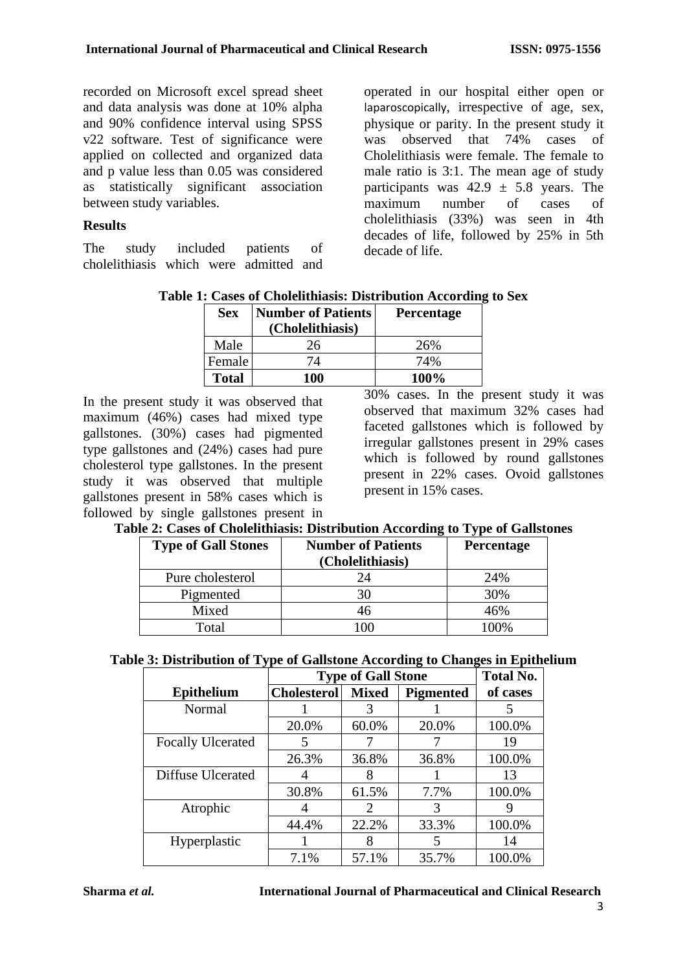recorded on Microsoft excel spread sheet and data analysis was done at 10% alpha and 90% confidence interval using SPSS v22 software. Test of significance were applied on collected and organized data and p value less than 0.05 was considered as statistically significant association between study variables.

#### **Results**

The study included patients of cholelithiasis which were admitted and operated in our hospital either open or laparoscopically, irrespective of age, sex, physique or parity. In the present study it was observed that 74% cases of Cholelithiasis were female. The female to male ratio is 3:1. The mean age of study participants was  $42.9 \pm 5.8$  years. The maximum number of cases of cholelithiasis (33%) was seen in 4th decades of life, followed by 25% in 5th decade of life.

|  |  |  |  | Table 1: Cases of Cholelithiasis: Distribution According to Sex |
|--|--|--|--|-----------------------------------------------------------------|
|--|--|--|--|-----------------------------------------------------------------|

| <b>Sex</b>   | <b>Number of Patients</b> | <b>Percentage</b> |
|--------------|---------------------------|-------------------|
|              | (Cholelithiasis)          |                   |
| Male         | 26                        | 26%               |
| Female       | 74                        | 74%               |
| <b>Total</b> | 100                       | 100%              |
|              |                           |                   |

In the present study it was observed that maximum (46%) cases had mixed type gallstones. (30%) cases had pigmented type gallstones and (24%) cases had pure cholesterol type gallstones. In the present study it was observed that multiple gallstones present in 58% cases which is followed by single gallstones present in

30% cases. In the present study it was observed that maximum 32% cases had faceted gallstones which is followed by irregular gallstones present in 29% cases which is followed by round gallstones present in 22% cases. Ovoid gallstones present in 15% cases.

|  |  |  |  |  |  | Table 2: Cases of Cholelithiasis: Distribution According to Type of Gallstones |
|--|--|--|--|--|--|--------------------------------------------------------------------------------|
|--|--|--|--|--|--|--------------------------------------------------------------------------------|

| <b>Type of Gall Stones</b> | <b>Number of Patients</b> | <b>Percentage</b> |
|----------------------------|---------------------------|-------------------|
|                            | (Cholelithiasis)          |                   |
| Pure cholesterol           | 9Δ                        | 24%               |
| Pigmented                  |                           | 30%               |
| Mixed                      |                           | 46%               |
| Total                      |                           | 00%،              |

|                          | <b>Type of Gall Stone</b> | <b>Total No.</b>            |           |          |
|--------------------------|---------------------------|-----------------------------|-----------|----------|
| <b>Epithelium</b>        | <b>Cholesterol</b>        | <b>Mixed</b>                | Pigmented | of cases |
| Normal                   |                           |                             |           |          |
|                          | 20.0%                     | 60.0%                       | 20.0%     | 100.0%   |
| <b>Focally Ulcerated</b> | 5                         |                             |           | 19       |
|                          | 26.3%                     | 36.8%                       | 36.8%     | 100.0%   |
| Diffuse Ulcerated        |                           |                             |           | 13       |
|                          | 30.8%                     | 61.5%                       | 7.7%      | 100.0%   |
| Atrophic                 |                           | $\mathcal{D}_{\mathcal{L}}$ | 3         |          |
|                          | 44.4%                     | 22.2%                       | 33.3%     | 100.0%   |
| Hyperplastic             |                           | 8                           | 5         | 14       |
|                          | 7.1%                      | 57.1%                       | 35.7%     | 100.0%   |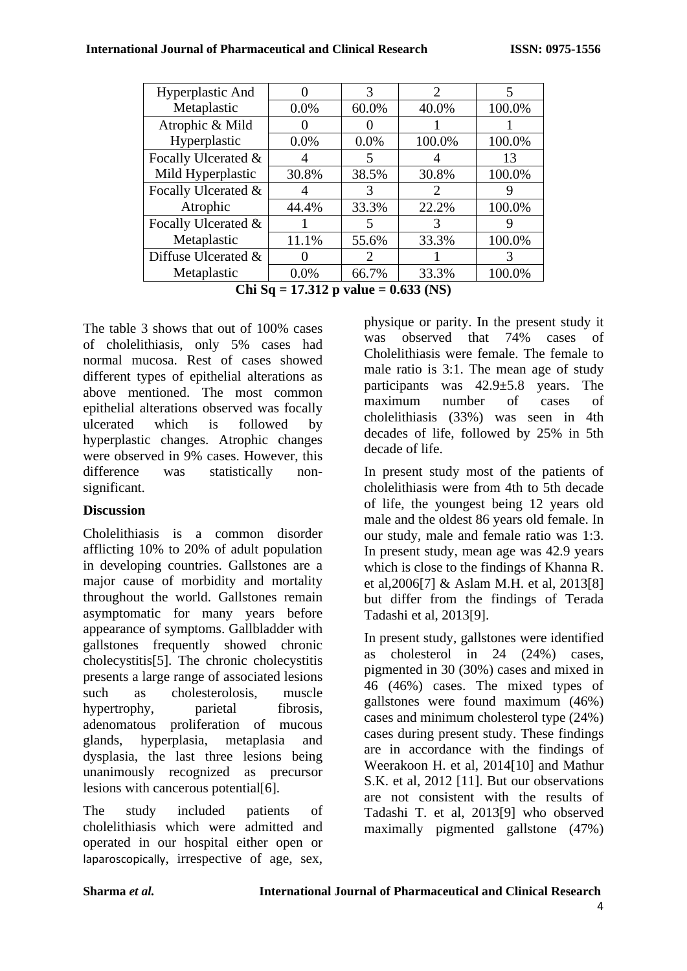| Hyperplastic And    |       | 3                     | $\mathcal{D}_{\mathcal{L}}$ | 5      |
|---------------------|-------|-----------------------|-----------------------------|--------|
| Metaplastic         | 0.0%  | 60.0%                 | 40.0%                       | 100.0% |
| Atrophic & Mild     |       |                       |                             |        |
| Hyperplastic        | 0.0%  | 0.0%                  | 100.0%                      | 100.0% |
| Focally Ulcerated & | 4     | 5                     |                             | 13     |
| Mild Hyperplastic   | 30.8% | 38.5%                 | 30.8%                       | 100.0% |
| Focally Ulcerated & |       | 3                     | $\mathcal{D}_{\cdot}$       |        |
| Atrophic            | 44.4% | 33.3%                 | 22.2%                       | 100.0% |
| Focally Ulcerated & |       | 5                     | 3                           |        |
| Metaplastic         | 11.1% | 55.6%                 | 33.3%                       | 100.0% |
| Diffuse Ulcerated & |       | $\mathcal{D}_{\cdot}$ |                             |        |
| Metaplastic         | 0.0%  | 66.7%                 | 33.3%                       | 100.0% |

**Chi Sq = 17.312 p value = 0.633 (NS)**

The table 3 shows that out of 100% cases of cholelithiasis, only 5% cases had normal mucosa. Rest of cases showed different types of epithelial alterations as above mentioned. The most common epithelial alterations observed was focally ulcerated which is followed by hyperplastic changes. Atrophic changes were observed in 9% cases. However, this difference was statistically nonsignificant.

## **Discussion**

Cholelithiasis is a common disorder afflicting 10% to 20% of adult population in developing countries. Gallstones are a major cause of morbidity and mortality throughout the world. Gallstones remain asymptomatic for many years before appearance of symptoms. Gallbladder with gallstones frequently showed chronic cholecystitis[5]. The chronic cholecystitis presents a large range of associated lesions such as cholesterolosis, muscle hypertrophy, parietal fibrosis, adenomatous proliferation of mucous glands, hyperplasia, metaplasia and dysplasia, the last three lesions being unanimously recognized as precursor lesions with cancerous potential[6].

The study included patients of cholelithiasis which were admitted and operated in our hospital either open or laparoscopically, irrespective of age, sex, physique or parity. In the present study it was observed that 74% cases of Cholelithiasis were female. The female to male ratio is 3:1. The mean age of study participants was 42.9±5.8 years. The maximum number of cases of cholelithiasis (33%) was seen in 4th decades of life, followed by 25% in 5th decade of life.

In present study most of the patients of cholelithiasis were from 4th to 5th decade of life, the youngest being 12 years old male and the oldest 86 years old female. In our study, male and female ratio was 1:3. In present study, mean age was 42.9 years which is close to the findings of Khanna R. et al,2006[7] & Aslam M.H. et al, 2013[8] but differ from the findings of Terada Tadashi et al, 2013[9].

In present study, gallstones were identified as cholesterol in 24 (24%) cases, pigmented in 30 (30%) cases and mixed in 46 (46%) cases. The mixed types of gallstones were found maximum (46%) cases and minimum cholesterol type (24%) cases during present study. These findings are in accordance with the findings of Weerakoon H. et al, 2014[10] and Mathur S.K. et al, 2012 [11]. But our observations are not consistent with the results of Tadashi T. et al, 2013[9] who observed maximally pigmented gallstone (47%)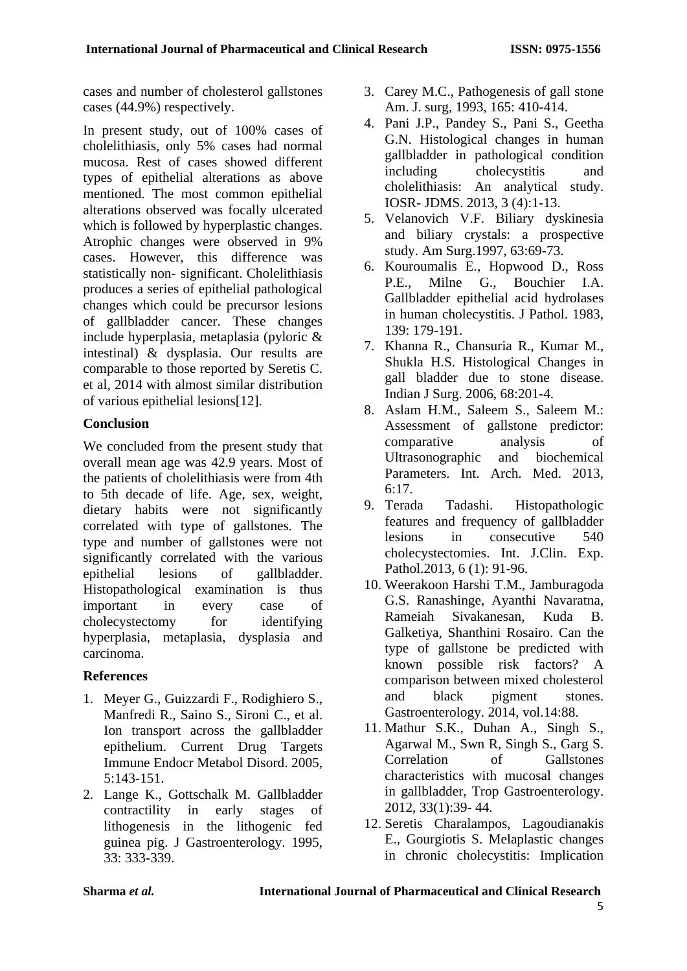cases and number of cholesterol gallstones cases (44.9%) respectively.

In present study, out of 100% cases of cholelithiasis, only 5% cases had normal mucosa. Rest of cases showed different types of epithelial alterations as above mentioned. The most common epithelial alterations observed was focally ulcerated which is followed by hyperplastic changes. Atrophic changes were observed in 9% cases. However, this difference was statistically non- significant. Cholelithiasis produces a series of epithelial pathological changes which could be precursor lesions of gallbladder cancer. These changes include hyperplasia, metaplasia (pyloric & intestinal) & dysplasia. Our results are comparable to those reported by Seretis C. et al, 2014 with almost similar distribution of various epithelial lesions[12].

## **Conclusion**

We concluded from the present study that overall mean age was 42.9 years. Most of the patients of cholelithiasis were from 4th to 5th decade of life. Age, sex, weight, dietary habits were not significantly correlated with type of gallstones. The type and number of gallstones were not significantly correlated with the various epithelial lesions of gallbladder. Histopathological examination is thus important in every case of cholecystectomy for identifying hyperplasia, metaplasia, dysplasia and carcinoma.

## **References**

- 1. Meyer G., Guizzardi F., Rodighiero S., Manfredi R., Saino S., Sironi C., et al. Ion transport across the gallbladder epithelium. Current Drug Targets Immune Endocr Metabol Disord. 2005, 5:143-151.
- 2. Lange K., Gottschalk M. Gallbladder contractility in early stages of lithogenesis in the lithogenic fed guinea pig. J Gastroenterology. 1995, 33: 333-339.
- 3. Carey M.C., Pathogenesis of gall stone Am. J. surg, 1993, 165: 410-414.
- 4. Pani J.P., Pandey S., Pani S., Geetha G.N. Histological changes in human gallbladder in pathological condition including cholecystitis and cholelithiasis: An analytical study. IOSR- JDMS. 2013, 3 (4):1-13.
- 5. Velanovich V.F. Biliary dyskinesia and biliary crystals: a prospective study. Am Surg.1997, 63:69-73.
- 6. Kouroumalis E., Hopwood D., Ross P.E., Milne G., Bouchier I.A. Gallbladder epithelial acid hydrolases in human cholecystitis. J Pathol. 1983, 139: 179-191.
- 7. Khanna R., Chansuria R., Kumar M., Shukla H.S. Histological Changes in gall bladder due to stone disease. Indian J Surg. 2006, 68:201-4.
- 8. Aslam H.M., Saleem S., Saleem M.: Assessment of gallstone predictor: comparative analysis of Ultrasonographic and biochemical Parameters. Int. Arch. Med. 2013, 6:17.
- 9. Terada Tadashi. Histopathologic features and frequency of gallbladder lesions in consecutive 540 cholecystectomies. Int. J.Clin. Exp. Pathol.2013, 6 (1): 91-96.
- 10. Weerakoon Harshi T.M., Jamburagoda G.S. Ranashinge, Ayanthi Navaratna, Rameiah Sivakanesan, Kuda B. Galketiya, Shanthini Rosairo. Can the type of gallstone be predicted with known possible risk factors? A comparison between mixed cholesterol and black pigment stones. Gastroenterology. 2014, vol.14:88.
- 11. Mathur S.K., Duhan A., Singh S., Agarwal M., Swn R, Singh S., Garg S. Correlation of Gallstones characteristics with mucosal changes in gallbladder, Trop Gastroenterology. 2012, 33(1):39- 44.
- 12. Seretis Charalampos, Lagoudianakis E., Gourgiotis S. Melaplastic changes in chronic cholecystitis: Implication